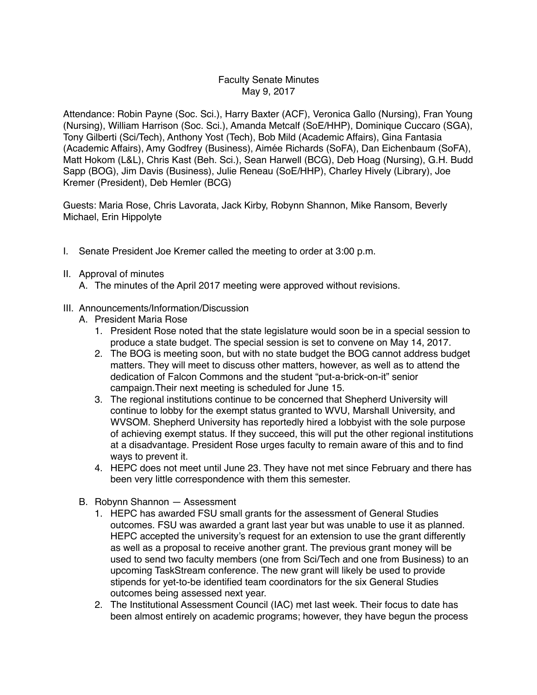## Faculty Senate Minutes May 9, 2017

Attendance: Robin Payne (Soc. Sci.), Harry Baxter (ACF), Veronica Gallo (Nursing), Fran Young (Nursing), William Harrison (Soc. Sci.), Amanda Metcalf (SoE/HHP), Dominique Cuccaro (SGA), Tony Gilberti (Sci/Tech), Anthony Yost (Tech), Bob Mild (Academic Affairs), Gina Fantasia (Academic Affairs), Amy Godfrey (Business), Aimée Richards (SoFA), Dan Eichenbaum (SoFA), Matt Hokom (L&L), Chris Kast (Beh. Sci.), Sean Harwell (BCG), Deb Hoag (Nursing), G.H. Budd Sapp (BOG), Jim Davis (Business), Julie Reneau (SoE/HHP), Charley Hively (Library), Joe Kremer (President), Deb Hemler (BCG)

Guests: Maria Rose, Chris Lavorata, Jack Kirby, Robynn Shannon, Mike Ransom, Beverly Michael, Erin Hippolyte

I. Senate President Joe Kremer called the meeting to order at 3:00 p.m.

## II. Approval of minutes

- A. The minutes of the April 2017 meeting were approved without revisions.
- III. Announcements/Information/Discussion
	- A. President Maria Rose
		- 1. President Rose noted that the state legislature would soon be in a special session to produce a state budget. The special session is set to convene on May 14, 2017.
		- 2. The BOG is meeting soon, but with no state budget the BOG cannot address budget matters. They will meet to discuss other matters, however, as well as to attend the dedication of Falcon Commons and the student "put-a-brick-on-it" senior campaign.Their next meeting is scheduled for June 15.
		- 3. The regional institutions continue to be concerned that Shepherd University will continue to lobby for the exempt status granted to WVU, Marshall University, and WVSOM. Shepherd University has reportedly hired a lobbyist with the sole purpose of achieving exempt status. If they succeed, this will put the other regional institutions at a disadvantage. President Rose urges faculty to remain aware of this and to find ways to prevent it.
		- 4. HEPC does not meet until June 23. They have not met since February and there has been very little correspondence with them this semester.
	- B. Robynn Shannon Assessment
		- 1. HEPC has awarded FSU small grants for the assessment of General Studies outcomes. FSU was awarded a grant last year but was unable to use it as planned. HEPC accepted the university's request for an extension to use the grant differently as well as a proposal to receive another grant. The previous grant money will be used to send two faculty members (one from Sci/Tech and one from Business) to an upcoming TaskStream conference. The new grant will likely be used to provide stipends for yet-to-be identified team coordinators for the six General Studies outcomes being assessed next year.
		- 2. The Institutional Assessment Council (IAC) met last week. Their focus to date has been almost entirely on academic programs; however, they have begun the process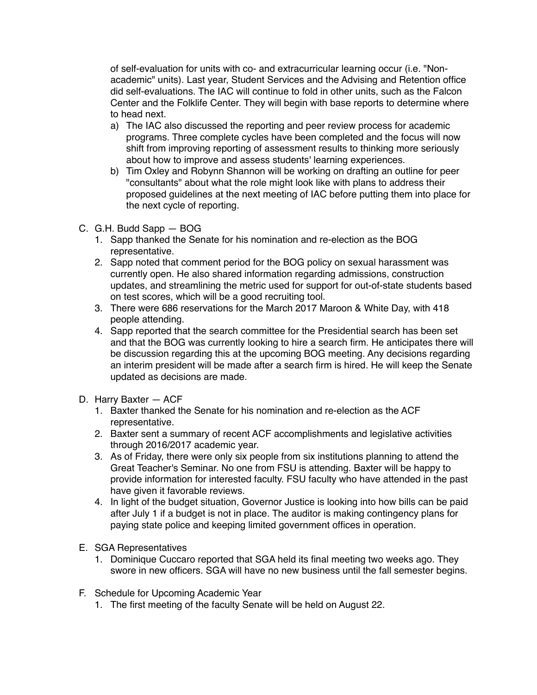of self-evaluation for units with co- and extracurricular learning occur (i.e. "Nonacademic" units). Last year, Student Services and the Advising and Retention office did self-evaluations. The IAC will continue to fold in other units, such as the Falcon Center and the Folklife Center. They will begin with base reports to determine where to head next.

- a) The IAC also discussed the reporting and peer review process for academic programs. Three complete cycles have been completed and the focus will now shift from improving reporting of assessment results to thinking more seriously about how to improve and assess students' learning experiences.
- b) Tim Oxley and Robynn Shannon will be working on drafting an outline for peer "consultants" about what the role might look like with plans to address their proposed guidelines at the next meeting of IAC before putting them into place for the next cycle of reporting.
- C. G.H. Budd Sapp BOG
	- 1. Sapp thanked the Senate for his nomination and re-election as the BOG representative.
	- 2. Sapp noted that comment period for the BOG policy on sexual harassment was currently open. He also shared information regarding admissions, construction updates, and streamlining the metric used for support for out-of-state students based on test scores, which will be a good recruiting tool.
	- 3. There were 686 reservations for the March 2017 Maroon & White Day, with 418 people attending.
	- 4. Sapp reported that the search committee for the Presidential search has been set and that the BOG was currently looking to hire a search firm. He anticipates there will be discussion regarding this at the upcoming BOG meeting. Any decisions regarding an interim president will be made after a search firm is hired. He will keep the Senate updated as decisions are made.
- D. Harry Baxter ACF
	- 1. Baxter thanked the Senate for his nomination and re-election as the ACF representative.
	- 2. Baxter sent a summary of recent ACF accomplishments and legislative activities through 2016/2017 academic year.
	- 3. As of Friday, there were only six people from six institutions planning to attend the Great Teacher's Seminar. No one from FSU is attending. Baxter will be happy to provide information for interested faculty. FSU faculty who have attended in the past have given it favorable reviews.
	- 4. In light of the budget situation, Governor Justice is looking into how bills can be paid after July 1 if a budget is not in place. The auditor is making contingency plans for paying state police and keeping limited government offices in operation.
- E. SGA Representatives
	- 1. Dominique Cuccaro reported that SGA held its final meeting two weeks ago. They swore in new officers. SGA will have no new business until the fall semester begins.
- F. Schedule for Upcoming Academic Year
	- 1. The first meeting of the faculty Senate will be held on August 22.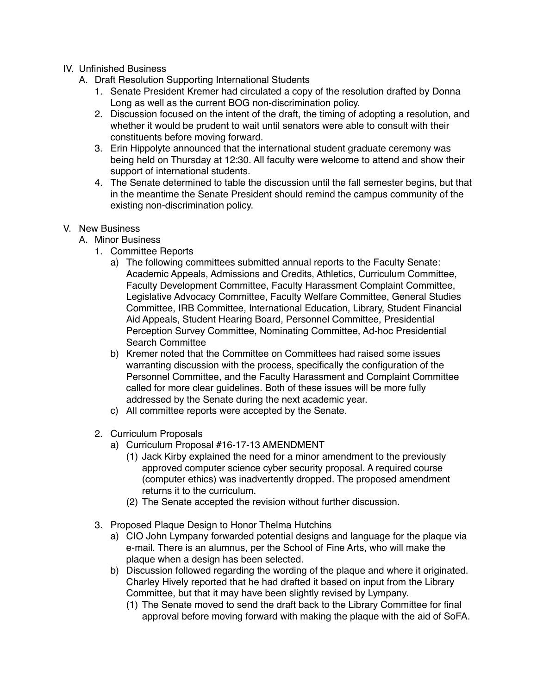## IV. Unfinished Business

- A. Draft Resolution Supporting International Students
	- 1. Senate President Kremer had circulated a copy of the resolution drafted by Donna Long as well as the current BOG non-discrimination policy.
	- 2. Discussion focused on the intent of the draft, the timing of adopting a resolution, and whether it would be prudent to wait until senators were able to consult with their constituents before moving forward.
	- 3. Erin Hippolyte announced that the international student graduate ceremony was being held on Thursday at 12:30. All faculty were welcome to attend and show their support of international students.
	- 4. The Senate determined to table the discussion until the fall semester begins, but that in the meantime the Senate President should remind the campus community of the existing non-discrimination policy.
- V. New Business
	- A. Minor Business
		- 1. Committee Reports
			- a) The following committees submitted annual reports to the Faculty Senate: Academic Appeals, Admissions and Credits, Athletics, Curriculum Committee, Faculty Development Committee, Faculty Harassment Complaint Committee, Legislative Advocacy Committee, Faculty Welfare Committee, General Studies Committee, IRB Committee, International Education, Library, Student Financial Aid Appeals, Student Hearing Board, Personnel Committee, Presidential Perception Survey Committee, Nominating Committee, Ad-hoc Presidential Search Committee
			- b) Kremer noted that the Committee on Committees had raised some issues warranting discussion with the process, specifically the configuration of the Personnel Committee, and the Faculty Harassment and Complaint Committee called for more clear guidelines. Both of these issues will be more fully addressed by the Senate during the next academic year.
			- c) All committee reports were accepted by the Senate.
		- 2. Curriculum Proposals
			- a) Curriculum Proposal #16-17-13 AMENDMENT
				- (1) Jack Kirby explained the need for a minor amendment to the previously approved computer science cyber security proposal. A required course (computer ethics) was inadvertently dropped. The proposed amendment returns it to the curriculum.
				- (2) The Senate accepted the revision without further discussion.
		- 3. Proposed Plaque Design to Honor Thelma Hutchins
			- a) CIO John Lympany forwarded potential designs and language for the plaque via e-mail. There is an alumnus, per the School of Fine Arts, who will make the plaque when a design has been selected.
			- b) Discussion followed regarding the wording of the plaque and where it originated. Charley Hively reported that he had drafted it based on input from the Library Committee, but that it may have been slightly revised by Lympany.
				- (1) The Senate moved to send the draft back to the Library Committee for final approval before moving forward with making the plaque with the aid of SoFA.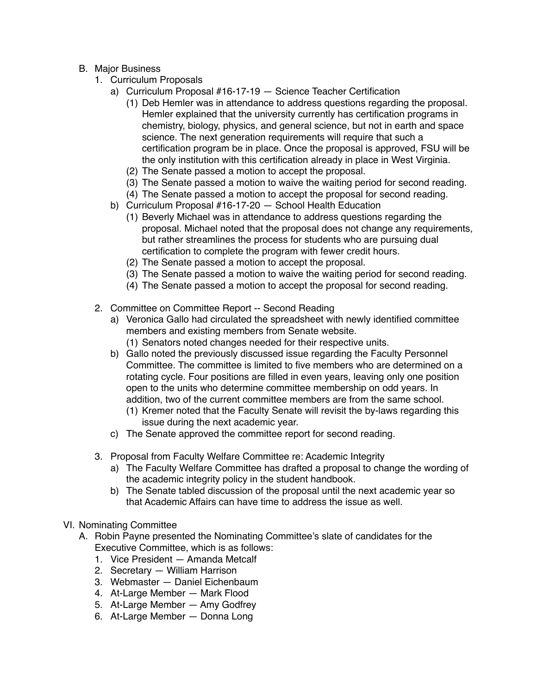- B. Major Business
	- 1. Curriculum Proposals
		- a) Curriculum Proposal #16-17-19 Science Teacher Certification
			- (1) Deb Hemler was in attendance to address questions regarding the proposal. Hemler explained that the university currently has certification programs in chemistry, biology, physics, and general science, but not in earth and space science. The next generation requirements will require that such a certification program be in place. Once the proposal is approved, FSU will be the only institution with this certification already in place in West Virginia.
			- (2) The Senate passed a motion to accept the proposal.
			- (3) The Senate passed a motion to waive the waiting period for second reading.
			- (4) The Senate passed a motion to accept the proposal for second reading.
		- b) Curriculum Proposal #16-17-20 School Health Education
			- (1) Beverly Michael was in attendance to address questions regarding the proposal. Michael noted that the proposal does not change any requirements, but rather streamlines the process for students who are pursuing dual certification to complete the program with fewer credit hours.
			- (2) The Senate passed a motion to accept the proposal.
			- (3) The Senate passed a motion to waive the waiting period for second reading.
			- (4) The Senate passed a motion to accept the proposal for second reading.
	- 2. Committee on Committee Report -- Second Reading
		- a) Veronica Gallo had circulated the spreadsheet with newly identified committee members and existing members from Senate website.
			- (1) Senators noted changes needed for their respective units.
		- b) Gallo noted the previously discussed issue regarding the Faculty Personnel Committee. The committee is limited to five members who are determined on a rotating cycle. Four positions are filled in even years, leaving only one position open to the units who determine committee membership on odd years. In addition, two of the current committee members are from the same school.
			- (1) Kremer noted that the Faculty Senate will revisit the by-laws regarding this issue during the next academic year.
		- c) The Senate approved the committee report for second reading.
	- 3. Proposal from Faculty Welfare Committee re: Academic Integrity
		- a) The Faculty Welfare Committee has drafted a proposal to change the wording of the academic integrity policy in the student handbook.
		- b) The Senate tabled discussion of the proposal until the next academic year so that Academic Affairs can have time to address the issue as well.
- VI. Nominating Committee
	- A. Robin Payne presented the Nominating Committee's slate of candidates for the Executive Committee, which is as follows:
		- 1. Vice President Amanda Metcalf
		- 2. Secretary William Harrison
		- 3. Webmaster Daniel Eichenbaum
		- 4. At-Large Member Mark Flood
		- 5. At-Large Member Amy Godfrey
		- 6. At-Large Member Donna Long